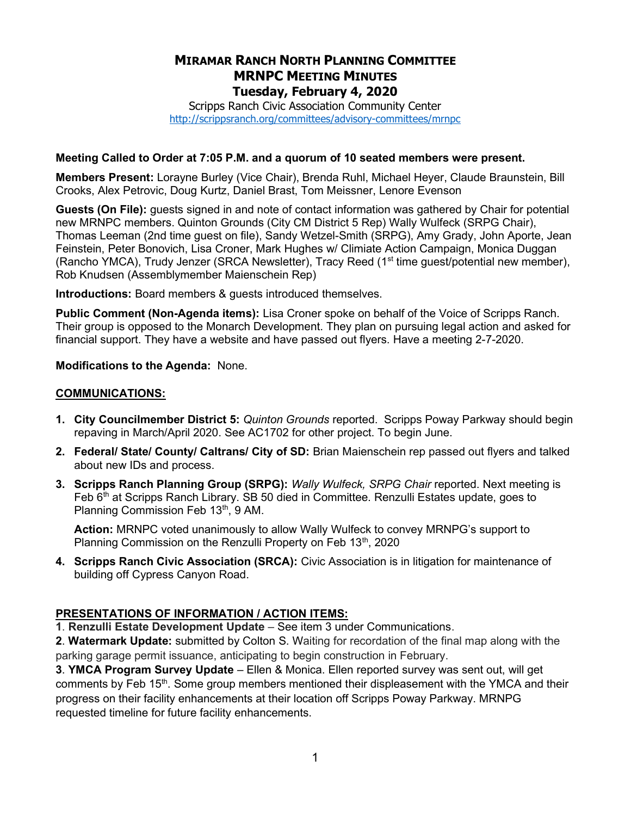# MIRAMAR RANCH NORTH PLANNING COMMITTEE MRNPC MEETING MINUTES Tuesday, February 4, 2020

Scripps Ranch Civic Association Community Center http://scrippsranch.org/committees/advisory-committees/mrnpc

#### Meeting Called to Order at 7:05 P.M. and a quorum of 10 seated members were present.

Members Present: Lorayne Burley (Vice Chair), Brenda Ruhl, Michael Heyer, Claude Braunstein, Bill Crooks, Alex Petrovic, Doug Kurtz, Daniel Brast, Tom Meissner, Lenore Evenson

Guests (On File): guests signed in and note of contact information was gathered by Chair for potential new MRNPC members. Quinton Grounds (City CM District 5 Rep) Wally Wulfeck (SRPG Chair), Thomas Leeman (2nd time guest on file), Sandy Wetzel-Smith (SRPG), Amy Grady, John Aporte, Jean Feinstein, Peter Bonovich, Lisa Croner, Mark Hughes w/ Climiate Action Campaign, Monica Duggan (Rancho YMCA), Trudy Jenzer (SRCA Newsletter), Tracy Reed ( $1<sup>st</sup>$  time guest/potential new member), Rob Knudsen (Assemblymember Maienschein Rep)

Introductions: Board members & guests introduced themselves.

Public Comment (Non-Agenda items): Lisa Croner spoke on behalf of the Voice of Scripps Ranch. Their group is opposed to the Monarch Development. They plan on pursuing legal action and asked for financial support. They have a website and have passed out flyers. Have a meeting 2-7-2020.

#### Modifications to the Agenda: None.

#### COMMUNICATIONS:

- 1. City Councilmember District 5: Quinton Grounds reported. Scripps Poway Parkway should begin repaving in March/April 2020. See AC1702 for other project. To begin June.
- 2. Federal/ State/ County/ Caltrans/ City of SD: Brian Maienschein rep passed out flyers and talked about new IDs and process.
- 3. Scripps Ranch Planning Group (SRPG): Wally Wulfeck, SRPG Chair reported. Next meeting is Feb 6<sup>th</sup> at Scripps Ranch Library. SB 50 died in Committee. Renzulli Estates update, goes to Planning Commission Feb 13<sup>th</sup>, 9 AM.

Action: MRNPC voted unanimously to allow Wally Wulfeck to convey MRNPG's support to Planning Commission on the Renzulli Property on Feb 13<sup>th</sup>, 2020

4. Scripps Ranch Civic Association (SRCA): Civic Association is in litigation for maintenance of building off Cypress Canyon Road.

### PRESENTATIONS OF INFORMATION / ACTION ITEMS:

1. Renzulli Estate Development Update – See item 3 under Communications.

2. Watermark Update: submitted by Colton S. Waiting for recordation of the final map along with the parking garage permit issuance, anticipating to begin construction in February.

3. YMCA Program Survey Update – Ellen & Monica. Ellen reported survey was sent out, will get comments by Feb 15<sup>th</sup>. Some group members mentioned their displeasement with the YMCA and their progress on their facility enhancements at their location off Scripps Poway Parkway. MRNPG requested timeline for future facility enhancements.